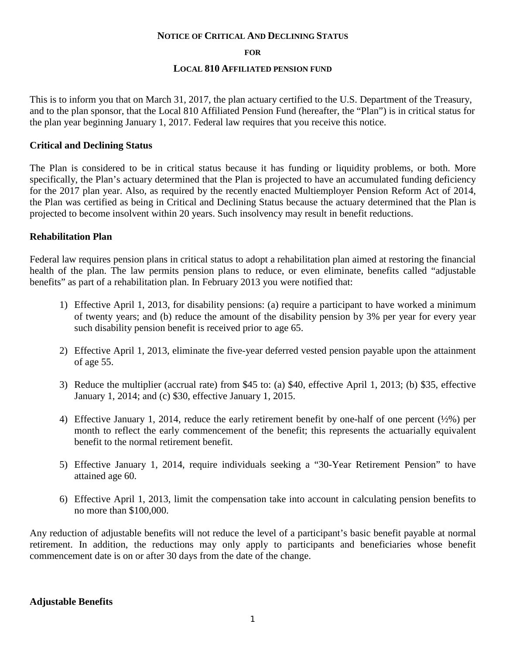#### **NOTICE OF CRITICAL AND DECLINING STATUS**

#### **FOR**

#### **LOCAL 810 AFFILIATED PENSION FUND**

This is to inform you that on March 31, 2017, the plan actuary certified to the U.S. Department of the Treasury, and to the plan sponsor, that the Local 810 Affiliated Pension Fund (hereafter, the "Plan") is in critical status for the plan year beginning January 1, 2017. Federal law requires that you receive this notice.

## **Critical and Declining Status**

The Plan is considered to be in critical status because it has funding or liquidity problems, or both. More specifically, the Plan's actuary determined that the Plan is projected to have an accumulated funding deficiency for the 2017 plan year. Also, as required by the recently enacted Multiemployer Pension Reform Act of 2014, the Plan was certified as being in Critical and Declining Status because the actuary determined that the Plan is projected to become insolvent within 20 years. Such insolvency may result in benefit reductions.

## **Rehabilitation Plan**

Federal law requires pension plans in critical status to adopt a rehabilitation plan aimed at restoring the financial health of the plan. The law permits pension plans to reduce, or even eliminate, benefits called "adjustable benefits" as part of a rehabilitation plan. In February 2013 you were notified that:

- 1) Effective April 1, 2013, for disability pensions: (a) require a participant to have worked a minimum of twenty years; and (b) reduce the amount of the disability pension by 3% per year for every year such disability pension benefit is received prior to age 65.
- 2) Effective April 1, 2013, eliminate the five-year deferred vested pension payable upon the attainment of age 55.
- 3) Reduce the multiplier (accrual rate) from \$45 to: (a) \$40, effective April 1, 2013; (b) \$35, effective January 1, 2014; and (c) \$30, effective January 1, 2015.
- 4) Effective January 1, 2014, reduce the early retirement benefit by one-half of one percent (½%) per month to reflect the early commencement of the benefit; this represents the actuarially equivalent benefit to the normal retirement benefit.
- 5) Effective January 1, 2014, require individuals seeking a "30-Year Retirement Pension" to have attained age 60.
- 6) Effective April 1, 2013, limit the compensation take into account in calculating pension benefits to no more than \$100,000.

Any reduction of adjustable benefits will not reduce the level of a participant's basic benefit payable at normal retirement. In addition, the reductions may only apply to participants and beneficiaries whose benefit commencement date is on or after 30 days from the date of the change.

## **Adjustable Benefits**